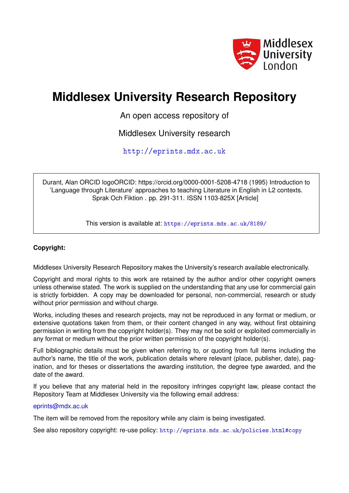

# **Middlesex University Research Repository**

An open access repository of

Middlesex University research

<http://eprints.mdx.ac.uk>

Durant, Alan ORCID logoORCID: https://orcid.org/0000-0001-5208-4718 (1995) Introduction to 'Language through Literature' approaches to teaching Literature in English in L2 contexts. Sprak Och Fiktion . pp. 291-311. ISSN 1103-825X [Article]

This version is available at: <https://eprints.mdx.ac.uk/8189/>

# **Copyright:**

Middlesex University Research Repository makes the University's research available electronically.

Copyright and moral rights to this work are retained by the author and/or other copyright owners unless otherwise stated. The work is supplied on the understanding that any use for commercial gain is strictly forbidden. A copy may be downloaded for personal, non-commercial, research or study without prior permission and without charge.

Works, including theses and research projects, may not be reproduced in any format or medium, or extensive quotations taken from them, or their content changed in any way, without first obtaining permission in writing from the copyright holder(s). They may not be sold or exploited commercially in any format or medium without the prior written permission of the copyright holder(s).

Full bibliographic details must be given when referring to, or quoting from full items including the author's name, the title of the work, publication details where relevant (place, publisher, date), pagination, and for theses or dissertations the awarding institution, the degree type awarded, and the date of the award.

If you believe that any material held in the repository infringes copyright law, please contact the Repository Team at Middlesex University via the following email address:

## [eprints@mdx.ac.uk](mailto:eprints@mdx.ac.uk)

The item will be removed from the repository while any claim is being investigated.

See also repository copyright: re-use policy: <http://eprints.mdx.ac.uk/policies.html#copy>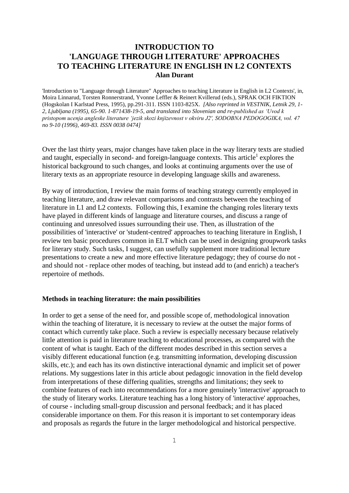# **INTRODUCTION TO 'LANGUAGE THROUGH LITERATURE' APPROACHES TO TEACHING LITERATURE IN ENGLISH IN L2 CONTEXTS Alan Durant**

'Introduction to "Language through Literature" Approaches to teaching Literature in English in L2 Contexts', in, Moira Linnarud, Torsten Ronnerstrand, Yvonne Leffler & Reinert Kvillerud (eds.), SPRAK OCH FIKTION (Hogskolan I Karlstad Press, 1995), pp.291-311. ISSN 1103-825X. *[Also reprinted in VESTNIK, Letnik 29, 1- 2, Ljubljana (1995), 65-90. 1-871438-19-5, and translated into Slovenian and re-published as 'Uvod k pristopom ucenja angleske literature 'jezik skozi knjizevnost v okviru J2', SODOBNA PEDOGOGIKA, vol. 47 no 9-10 (1996), 469-83. ISSN 0038 0474]*

Over the last thirty years, major changes have taken place in the way literary texts are studied and taught, especially in second- and foreign-language contexts. This article<sup>1</sup> explores the historical background to such changes, and looks at continuing arguments over the use of literary texts as an appropriate resource in developing language skills and awareness.

By way of introduction, I review the main forms of teaching strategy currently employed in teaching literature, and draw relevant comparisons and contrasts between the teaching of literature in L1 and L2 contexts. Following this, I examine the changing roles literary texts have played in different kinds of language and literature courses, and discuss a range of continuing and unresolved issues surrounding their use. Then, as illustration of the possibilities of 'interactive' or 'student-centred' approaches to teaching literature in English, I review ten basic procedures common in ELT which can be used in designing groupwork tasks for literary study. Such tasks, I suggest, can usefully supplement more traditional lecture presentations to create a new and more effective literature pedagogy; they of course do not and should not - replace other modes of teaching, but instead add to (and enrich) a teacher's repertoire of methods.

#### **Methods in teaching literature: the main possibilities**

In order to get a sense of the need for, and possible scope of, methodological innovation within the teaching of literature, it is necessary to review at the outset the major forms of contact which currently take place. Such a review is especially necessary because relatively little attention is paid in literature teaching to educational processes, as compared with the content of what is taught. Each of the different modes described in this section serves a visibly different educational function (e.g. transmitting information, developing discussion skills, etc.); and each has its own distinctive interactional dynamic and implicit set of power relations. My suggestions later in this article about pedagogic innovation in the field develop from interpretations of these differing qualities, strengths and limitations; they seek to combine features of each into recommendations for a more genuinely 'interactive' approach to the study of literary works. Literature teaching has a long history of 'interactive' approaches, of course - including small-group discussion and personal feedback; and it has placed considerable importance on them. For this reason it is important to set contemporary ideas and proposals as regards the future in the larger methodological and historical perspective.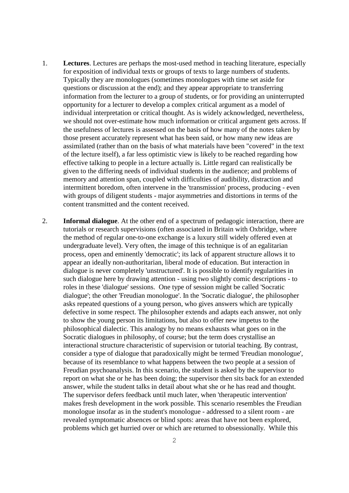- 1. **Lectures**. Lectures are perhaps the most-used method in teaching literature, especially for exposition of individual texts or groups of texts to large numbers of students. Typically they are monologues (sometimes monologues with time set aside for questions or discussion at the end); and they appear appropriate to transferring information from the lecturer to a group of students, or for providing an uninterrupted opportunity for a lecturer to develop a complex critical argument as a model of individual interpretation or critical thought. As is widely acknowledged, nevertheless, we should not over-estimate how much information or critical argument gets across. If the usefulness of lectures is assessed on the basis of how many of the notes taken by those present accurately represent what has been said, or how many new ideas are assimilated (rather than on the basis of what materials have been "covered" in the text of the lecture itself), a far less optimistic view is likely to be reached regarding how effective talking to people in a lecture actually is. Little regard can realistically be given to the differing needs of individual students in the audience; and problems of memory and attention span, coupled with difficulties of audibility, distraction and intermittent boredom, often intervene in the 'transmission' process, producing - even with groups of diligent students - major asymmetries and distortions in terms of the content transmitted and the content received.
- 2. **Informal dialogue**. At the other end of a spectrum of pedagogic interaction, there are tutorials or research supervisions (often associated in Britain with Oxbridge, where the method of regular one-to-one exchange is a luxury still widely offered even at undergraduate level). Very often, the image of this technique is of an egalitarian process, open and eminently 'democratic'; its lack of apparent structure allows it to appear an ideally non-authoritarian, liberal mode of education. But interaction in dialogue is never completely 'unstructured'. It is possible to identify regularities in such dialogue here by drawing attention - using two slightly comic descriptions - to roles in these 'dialogue' sessions. One type of session might be called 'Socratic dialogue'; the other 'Freudian monologue'. In the 'Socratic dialogue', the philosopher asks repeated questions of a young person, who gives answers which are typically defective in some respect. The philosopher extends and adapts each answer, not only to show the young person its limitations, but also to offer new impetus to the philosophical dialectic. This analogy by no means exhausts what goes on in the Socratic dialogues in philosophy, of course; but the term does crystallise an interactional structure characteristic of supervision or tutorial teaching. By contrast, consider a type of dialogue that paradoxically might be termed 'Freudian monologue', because of its resemblance to what happens between the two people at a session of Freudian psychoanalysis. In this scenario, the student is asked by the supervisor to report on what she or he has been doing; the supervisor then sits back for an extended answer, while the student talks in detail about what she or he has read and thought. The supervisor defers feedback until much later, when 'therapeutic intervention' makes fresh development in the work possible. This scenario resembles the Freudian monologue insofar as in the student's monologue - addressed to a silent room - are revealed symptomatic absences or blind spots: areas that have not been explored, problems which get hurried over or which are returned to obsessionally. While this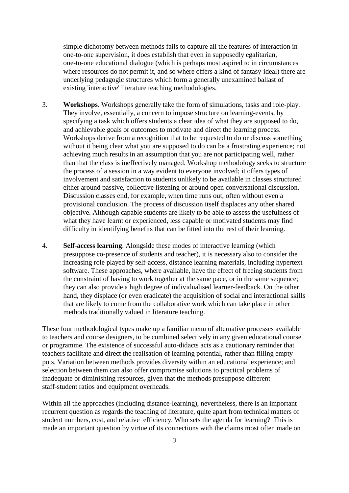simple dichotomy between methods fails to capture all the features of interaction in one-to-one supervision, it does establish that even in supposedly egalitarian, one-to-one educational dialogue (which is perhaps most aspired to in circumstances where resources do not permit it, and so where offers a kind of fantasy-ideal) there are underlying pedagogic structures which form a generally unexamined ballast of existing 'interactive' literature teaching methodologies.

- 3. **Workshops**. Workshops generally take the form of simulations, tasks and role-play. They involve, essentially, a concern to impose structure on learning-events, by specifying a task which offers students a clear idea of what they are supposed to do, and achievable goals or outcomes to motivate and direct the learning process. Workshops derive from a recognition that to be requested to do or discuss something without it being clear what you are supposed to do can be a frustrating experience; not achieving much results in an assumption that you are not participating well, rather than that the class is ineffectively managed. Workshop methodology seeks to structure the process of a session in a way evident to everyone involved; it offers types of involvement and satisfaction to students unlikely to be available in classes structured either around passive, collective listening or around open conversational discussion. Discussion classes end, for example, when time runs out, often without even a provisional conclusion. The process of discussion itself displaces any other shared objective. Although capable students are likely to be able to assess the usefulness of what they have learnt or experienced, less capable or motivated students may find difficulty in identifying benefits that can be fitted into the rest of their learning.
- 4. **Self-access learning**. Alongside these modes of interactive learning (which presuppose co-presence of students and teacher), it is necessary also to consider the increasing role played by self-access, distance learning materials, including hypertext software. These approaches, where available, have the effect of freeing students from the constraint of having to work together at the same pace, or in the same sequence; they can also provide a high degree of individualised learner-feedback. On the other hand, they displace (or even eradicate) the acquisition of social and interactional skills that are likely to come from the collaborative work which can take place in other methods traditionally valued in literature teaching.

These four methodological types make up a familiar menu of alternative processes available to teachers and course designers, to be combined selectively in any given educational course or programme. The existence of successful auto-didacts acts as a cautionary reminder that teachers facilitate and direct the realisation of learning potential, rather than filling empty pots. Variation between methods provides diversity within an educational experience; and selection between them can also offer compromise solutions to practical problems of inadequate or diminishing resources, given that the methods presuppose different staff-student ratios and equipment overheads.

Within all the approaches (including distance-learning), nevertheless, there is an important recurrent question as regards the teaching of literature, quite apart from technical matters of student numbers, cost, and relative efficiency. Who sets the agenda for learning? This is made an important question by virtue of its connections with the claims most often made on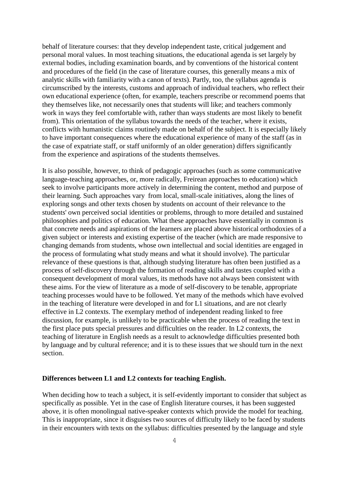behalf of literature courses: that they develop independent taste, critical judgement and personal moral values. In most teaching situations, the educational agenda is set largely by external bodies, including examination boards, and by conventions of the historical content and procedures of the field (in the case of literature courses, this generally means a mix of analytic skills with familiarity with a canon of texts). Partly, too, the syllabus agenda is circumscribed by the interests, customs and approach of individual teachers, who reflect their own educational experience (often, for example, teachers prescribe or recommend poems that they themselves like, not necessarily ones that students will like; and teachers commonly work in ways they feel comfortable with, rather than ways students are most likely to benefit from). This orientation of the syllabus towards the needs of the teacher, where it exists, conflicts with humanistic claims routinely made on behalf of the subject. It is especially likely to have important consequences where the educational experience of many of the staff (as in the case of expatriate staff, or staff uniformly of an older generation) differs significantly from the experience and aspirations of the students themselves.

It is also possible, however, to think of pedagogic approaches (such as some communicative language-teaching approaches, or, more radically, Freirean approaches to education) which seek to involve participants more actively in determining the content, method and purpose of their learning. Such approaches vary from local, small-scale initiatives, along the lines of exploring songs and other texts chosen by students on account of their relevance to the students' own perceived social identities or problems, through to more detailed and sustained philosophies and politics of education. What these approaches have essentially in common is that concrete needs and aspirations of the learners are placed above historical orthodoxies of a given subject or interests and existing expertise of the teacher (which are made responsive to changing demands from students, whose own intellectual and social identities are engaged in the process of formulating what study means and what it should involve). The particular relevance of these questions is that, although studying literature has often been justified as a process of self-discovery through the formation of reading skills and tastes coupled with a consequent development of moral values, its methods have not always been consistent with these aims. For the view of literature as a mode of self-discovery to be tenable, appropriate teaching processes would have to be followed. Yet many of the methods which have evolved in the teaching of literature were developed in and for L1 situations, and are not clearly effective in L2 contexts. The exemplary method of independent reading linked to free discussion, for example, is unlikely to be practicable when the process of reading the text in the first place puts special pressures and difficulties on the reader. In L2 contexts, the teaching of literature in English needs as a result to acknowledge difficulties presented both by language and by cultural reference; and it is to these issues that we should turn in the next section.

#### **Differences between L1 and L2 contexts for teaching English.**

When deciding how to teach a subject, it is self-evidently important to consider that subject as specifically as possible. Yet in the case of English literature courses, it has been suggested above, it is often monolingual native-speaker contexts which provide the model for teaching. This is inappropriate, since it disguises two sources of difficulty likely to be faced by students in their encounters with texts on the syllabus: difficulties presented by the language and style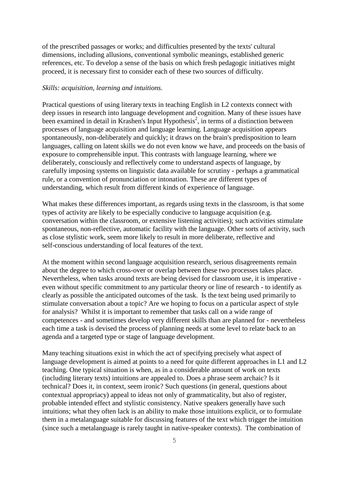of the prescribed passages or works; and difficulties presented by the texts' cultural dimensions, including allusions, conventional symbolic meanings, established generic references, etc. To develop a sense of the basis on which fresh pedagogic initiatives might proceed, it is necessary first to consider each of these two sources of difficulty.

### *Skills: acquisition, learning and intuitions.*

Practical questions of using literary texts in teaching English in L2 contexts connect with deep issues in research into language development and cognition. Many of these issues have been examined in detail in Krashen's Input Hypothesis<sup>2</sup>, in terms of a distinction between processes of language acquisition and language learning. Language acquisition appears spontaneously, non-deliberately and quickly; it draws on the brain's predisposition to learn languages, calling on latent skills we do not even know we have, and proceeds on the basis of exposure to comprehensible input. This contrasts with language learning, where we deliberately, consciously and reflectively come to understand aspects of language, by carefully imposing systems on linguistic data available for scrutiny - perhaps a grammatical rule, or a convention of pronunciation or intonation. These are different types of understanding, which result from different kinds of experience of language.

What makes these differences important, as regards using texts in the classroom, is that some types of activity are likely to be especially conducive to language acquisition (e.g. conversation within the classroom, or extensive listening activities); such activities stimulate spontaneous, non-reflective, automatic facility with the language. Other sorts of activity, such as close stylistic work, seem more likely to result in more deliberate, reflective and self-conscious understanding of local features of the text.

At the moment within second language acquisition research, serious disagreements remain about the degree to which cross-over or overlap between these two processes takes place. Nevertheless, when tasks around texts are being devised for classroom use, it is imperative even without specific commitment to any particular theory or line of research - to identify as clearly as possible the anticipated outcomes of the task. Is the text being used primarily to stimulate conversation about a topic? Are we hoping to focus on a particular aspect of style for analysis? Whilst it is important to remember that tasks call on a wide range of competences - and sometimes develop very different skills than are planned for - nevertheless each time a task is devised the process of planning needs at some level to relate back to an agenda and a targeted type or stage of language development.

Many teaching situations exist in which the act of specifying precisely what aspect of language development is aimed at points to a need for quite different approaches in L1 and L2 teaching. One typical situation is when, as in a considerable amount of work on texts (including literary texts) intuitions are appealed to. Does a phrase seem archaic? Is it technical? Does it, in context, seem ironic? Such questions (in general, questions about contextual appropriacy) appeal to ideas not only of grammaticality, but also of register, probable intended effect and stylistic consistency. Native speakers generally have such intuitions; what they often lack is an ability to make those intuitions explicit, or to formulate them in a metalanguage suitable for discussing features of the text which trigger the intuition (since such a metalanguage is rarely taught in native-speaker contexts). The combination of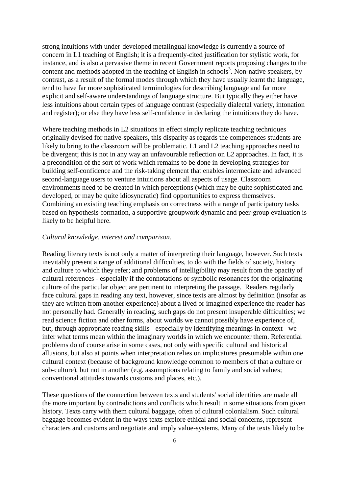strong intuitions with under-developed metalingual knowledge is currently a source of concern in L1 teaching of English; it is a frequently-cited justification for stylistic work, for instance, and is also a pervasive theme in recent Government reports proposing changes to the content and methods adopted in the teaching of English in schools<sup>3</sup>. Non-native speakers, by contrast, as a result of the formal modes through which they have usually learnt the language, tend to have far more sophisticated terminologies for describing language and far more explicit and self-aware understandings of language structure. But typically they either have less intuitions about certain types of language contrast (especially dialectal variety, intonation and register); or else they have less self-confidence in declaring the intuitions they do have.

Where teaching methods in L2 situations in effect simply replicate teaching techniques originally devised for native-speakers, this disparity as regards the competences students are likely to bring to the classroom will be problematic. L1 and L2 teaching approaches need to be divergent; this is not in any way an unfavourable reflection on L2 approaches. In fact, it is a precondition of the sort of work which remains to be done in developing strategies for building self-confidence and the risk-taking element that enables intermediate and advanced second-language users to venture intuitions about all aspects of usage. Classroom environments need to be created in which perceptions (which may be quite sophisticated and developed, or may be quite idiosyncratic) find opportunities to express themselves. Combining an existing teaching emphasis on correctness with a range of participatory tasks based on hypothesis-formation, a supportive groupwork dynamic and peer-group evaluation is likely to be helpful here.

## *Cultural knowledge, interest and comparison.*

Reading literary texts is not only a matter of interpreting their language, however. Such texts inevitably present a range of additional difficulties, to do with the fields of society, history and culture to which they refer; and problems of intelligibility may result from the opacity of cultural references - especially if the connotations or symbolic resonances for the originating culture of the particular object are pertinent to interpreting the passage. Readers regularly face cultural gaps in reading any text, however, since texts are almost by definition (insofar as they are written from another experience) about a lived or imagined experience the reader has not personally had. Generally in reading, such gaps do not present insuperable difficulties; we read science fiction and other forms, about worlds we cannot possibly have experience of, but, through appropriate reading skills - especially by identifying meanings in context - we infer what terms mean within the imaginary worlds in which we encounter them. Referential problems do of course arise in some cases, not only with specific cultural and historical allusions, but also at points when interpretation relies on implicatures presumable within one cultural context (because of background knowledge common to members of that a culture or sub-culture), but not in another (e.g. assumptions relating to family and social values; conventional attitudes towards customs and places, etc.).

These questions of the connection between texts and students' social identities are made all the more important by contradictions and conflicts which result in some situations from given history. Texts carry with them cultural baggage, often of cultural colonialism. Such cultural baggage becomes evident in the ways texts explore ethical and social concerns, represent characters and customs and negotiate and imply value-systems. Many of the texts likely to be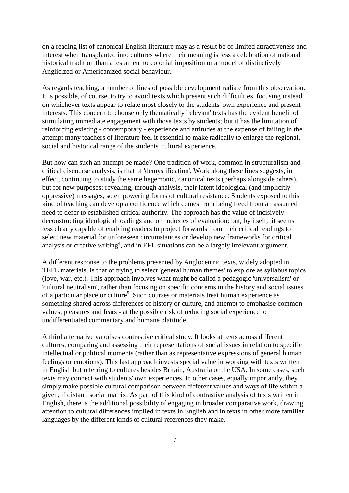on a reading list of canonical English literature may as a result be of limited attractiveness and interest when transplanted into cultures where their meaning is less a celebration of national historical tradition than a testament to colonial imposition or a model of distinctively Anglicized or Americanized social behaviour.

As regards teaching, a number of lines of possible development radiate from this observation. It is possible, of course, to try to avoid texts which present such difficulties, focusing instead on whichever texts appear to relate most closely to the students' own experience and present interests. This concern to choose only thematically 'relevant' texts has the evident benefit of stimulating immediate engagement with those texts by students; but it has the limitation of reinforcing existing - contemporary - experience and attitudes at the expense of failing in the attempt many teachers of literature feel it essential to make radically to enlarge the regional, social and historical range of the students' cultural experience.

But how can such an attempt be made? One tradition of work, common in structuralism and critical discourse analysis, is that of 'demystification'. Work along these lines suggests, in effect, continuing to study the same hegemonic, canonical texts (perhaps alongside others), but for new purposes: revealing, through analysis, their latent ideological (and implicitly oppressive) messages, so empowering forms of cultural resistance. Students exposed to this kind of teaching can develop a confidence which comes from being freed from an assumed need to defer to established critical authority. The approach has the value of incisively deconstructing ideological loadings and orthodoxies of evaluation; but, by itself, it seems less clearly capable of enabling readers to project forwards from their critical readings to select new material for unforeseen circumstances or develop new frameworks for critical analysis or creative writing<sup>4</sup>, and in EFL situations can be a largely irrelevant argument.

A different response to the problems presented by Anglocentric texts, widely adopted in TEFL materials, is that of trying to select 'general human themes' to explore as syllabus topics (love, war, etc.). This approach involves what might be called a pedagogic 'universalism' or 'cultural neutralism', rather than focusing on specific concerns in the history and social issues of a particular place or culture<sup>5</sup>. Such courses or materials treat human experience as something shared across differences of history or culture, and attempt to emphasise common values, pleasures and fears - at the possible risk of reducing social experience to undifferentiated commentary and humane platitude.

A third alternative valorises contrastive critical study. It looks at texts across different cultures, comparing and assessing their representations of social issues in relation to specific intellectual or political moments (rather than as representative expressions of general human feelings or emotions). This last approach invests special value in working with texts written in English but referring to cultures besides Britain, Australia or the USA. In some cases, such texts may connect with students' own experiences. In other cases, equally importantly, they simply make possible cultural comparison between different values and ways of life within a given, if distant, social matrix. As part of this kind of contrastive analysis of texts written in English, there is the additional possibility of engaging in broader comparative work, drawing attention to cultural differences implied in texts in English and in texts in other more familiar languages by the different kinds of cultural references they make.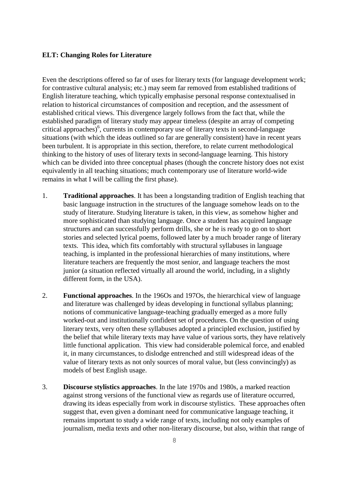## **ELT: Changing Roles for Literature**

Even the descriptions offered so far of uses for literary texts (for language development work; for contrastive cultural analysis; etc.) may seem far removed from established traditions of English literature teaching, which typically emphasise personal response contextualised in relation to historical circumstances of composition and reception, and the assessment of established critical views. This divergence largely follows from the fact that, while the established paradigm of literary study may appear timeless (despite an array of competing critical approaches)<sup>6</sup>, currents in contemporary use of literary texts in second-language situations (with which the ideas outlined so far are generally consistent) have in recent years been turbulent. It is appropriate in this section, therefore, to relate current methodological thinking to the history of uses of literary texts in second-language learning. This history which can be divided into three conceptual phases (though the concrete history does not exist equivalently in all teaching situations; much contemporary use of literature world-wide remains in what I will be calling the first phase).

- 1. **Traditional approaches**. It has been a longstanding tradition of English teaching that basic language instruction in the structures of the language somehow leads on to the study of literature. Studying literature is taken, in this view, as somehow higher and more sophisticated than studying language. Once a student has acquired language structures and can successfully perform drills, she or he is ready to go on to short stories and selected lyrical poems, followed later by a much broader range of literary texts. This idea, which fits comfortably with structural syllabuses in language teaching, is implanted in the professional hierarchies of many institutions, where literature teachers are frequently the most senior, and language teachers the most junior (a situation reflected virtually all around the world, including, in a slightly different form, in the USA).
- 2. **Functional approaches**. In the 196Os and 197Os, the hierarchical view of language and literature was challenged by ideas developing in functional syllabus planning; notions of communicative language-teaching gradually emerged as a more fully worked-out and institutionally confident set of procedures. On the question of using literary texts, very often these syllabuses adopted a principled exclusion, justified by the belief that while literary texts may have value of various sorts, they have relatively little functional application. This view had considerable polemical force, and enabled it, in many circumstances, to dislodge entrenched and still widespread ideas of the value of literary texts as not only sources of moral value, but (less convincingly) as models of best English usage.
- 3. **Discourse stylistics approaches**. In the late 1970s and 1980s, a marked reaction against strong versions of the functional view as regards use of literature occurred, drawing its ideas especially from work in discourse stylistics. These approaches often suggest that, even given a dominant need for communicative language teaching, it remains important to study a wide range of texts, including not only examples of journalism, media texts and other non-literary discourse, but also, within that range of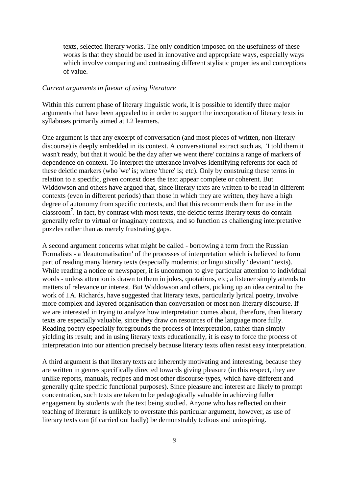texts, selected literary works. The only condition imposed on the usefulness of these works is that they should be used in innovative and appropriate ways, especially ways which involve comparing and contrasting different stylistic properties and conceptions of value.

### *Current arguments in favour of using literature*

Within this current phase of literary linguistic work, it is possible to identify three major arguments that have been appealed to in order to support the incorporation of literary texts in syllabuses primarily aimed at L2 learners.

One argument is that any excerpt of conversation (and most pieces of written, non-literary discourse) is deeply embedded in its context. A conversational extract such as, 'I told them it wasn't ready, but that it would be the day after we went there' contains a range of markers of dependence on context. To interpret the utterance involves identifying referents for each of these deictic markers (who 'we' is; where 'there' is; etc). Only by construing these terms in relation to a specific, given context does the text appear complete or coherent. But Widdowson and others have argued that, since literary texts are written to be read in different contexts (even in different periods) than those in which they are written, they have a high degree of autonomy from specific contexts, and that this recommends them for use in the classroom**<sup>7</sup>** . In fact, by contrast with most texts, the deictic terms literary texts do contain generally refer to virtual or imaginary contexts, and so function as challenging interpretative puzzles rather than as merely frustrating gaps.

A second argument concerns what might be called - borrowing a term from the Russian Formalists - a 'deautomatisation' of the processes of interpretation which is believed to form part of reading many literary texts (especially modernist or linguistically "deviant" texts). While reading a notice or newspaper, it is uncommon to give particular attention to individual words - unless attention is drawn to them in jokes, quotations, etc; a listener simply attends to matters of relevance or interest. But Widdowson and others, picking up an idea central to the work of I.A. Richards, have suggested that literary texts, particularly lyrical poetry, involve more complex and layered organisation than conversation or most non-literary discourse. If we are interested in trying to analyze how interpretation comes about, therefore, then literary texts are especially valuable, since they draw on resources of the language more fully. Reading poetry especially foregrounds the process of interpretation, rather than simply yielding its result; and in using literary texts educationally, it is easy to force the process of interpretation into our attention precisely because literary texts often resist easy interpretation.

A third argument is that literary texts are inherently motivating and interesting, because they are written in genres specifically directed towards giving pleasure (in this respect, they are unlike reports, manuals, recipes and most other discourse-types, which have different and generally quite specific functional purposes). Since pleasure and interest are likely to prompt concentration, such texts are taken to be pedagogically valuable in achieving fuller engagement by students with the text being studied. Anyone who has reflected on their teaching of literature is unlikely to overstate this particular argument, however, as use of literary texts can (if carried out badly) be demonstrably tedious and uninspiring.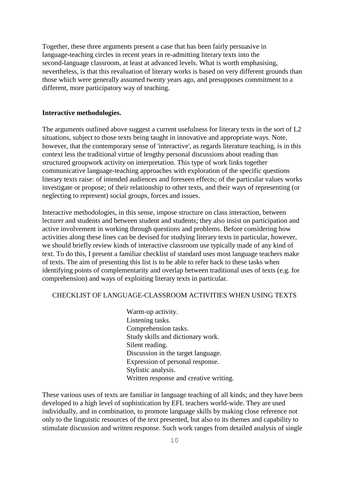Together, these three arguments present a case that has been fairly persuasive in language-teaching circles in recent years in re-admitting literary texts into the second-language classroom, at least at advanced levels. What is worth emphasising, nevertheless, is that this revaluation of literary works is based on very different grounds than those which were generally assumed twenty years ago, and presupposes commitment to a different, more participatory way of teaching.

#### **Interactive methodologies.**

The arguments outlined above suggest a current usefulness for literary texts in the sort of L2 situations, subject to those texts being taught in innovative and appropriate ways. Note, however, that the contemporary sense of 'interactive', as regards literature teaching, is in this context less the traditional virtue of lengthy personal discussions about reading than structured groupwork activity on interpretation. This type of work links together communicative language-teaching approaches with exploration of the specific questions literary texts raise: of intended audiences and foreseen effects; of the particular values works investigate or propose; of their relationship to other texts, and their ways of representing (or neglecting to represent) social groups, forces and issues.

Interactive methodologies, in this sense, impose structure on class interaction, between lecturer and students and between student and students; they also insist on participation and active involvement in working through questions and problems. Before considering how activities along these lines can be devised for studying literary texts in particular, however, we should briefly review kinds of interactive classroom use typically made of any kind of text. To do this, I present a familiar checklist of standard uses most language teachers make of texts. The aim of presenting this list is to be able to refer back to these tasks when identifying points of complementarity and overlap between traditional uses of texts (e.g. for comprehension) and ways of exploiting literary texts in particular.

# CHECKLIST OF LANGUAGE-CLASSROOM ACTIVITIES WHEN USING TEXTS

Warm-up activity. Listening tasks. Comprehension tasks. Study skills and dictionary work. Silent reading. Discussion in the target language. Expression of personal response. Stylistic analysis. Written response and creative writing.

These various uses of texts are familiar in language teaching of all kinds; and they have been developed to a high level of sophistication by EFL teachers world-wide. They are used individually, and in combination, to promote language skills by making close reference not only to the linguistic resources of the text presented, but also to its themes and capability to stimulate discussion and written response. Such work ranges from detailed analysis of single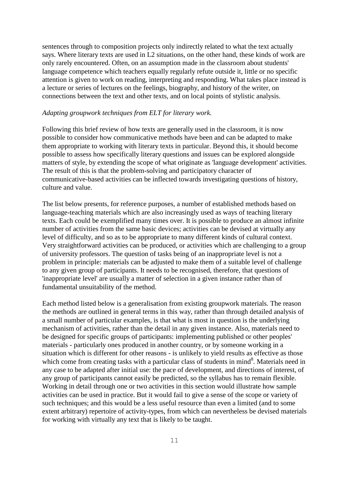sentences through to composition projects only indirectly related to what the text actually says. Where literary texts are used in L2 situations, on the other hand, these kinds of work are only rarely encountered. Often, on an assumption made in the classroom about students' language competence which teachers equally regularly refute outside it, little or no specific attention is given to work on reading, interpreting and responding. What takes place instead is a lecture or series of lectures on the feelings, biography, and history of the writer, on connections between the text and other texts, and on local points of stylistic analysis.

## *Adapting groupwork techniques from ELT for literary work.*

Following this brief review of how texts are generally used in the classroom, it is now possible to consider how communicative methods have been and can be adapted to make them appropriate to working with literary texts in particular. Beyond this, it should become possible to assess how specifically literary questions and issues can be explored alongside matters of style, by extending the scope of what originate as 'language development' activities. The result of this is that the problem-solving and participatory character of communicative-based activities can be inflected towards investigating questions of history, culture and value.

The list below presents, for reference purposes, a number of established methods based on language-teaching materials which are also increasingly used as ways of teaching literary texts. Each could be exemplified many times over. It is possible to produce an almost infinite number of activities from the same basic devices; activities can be devised at virtually any level of difficulty, and so as to be appropriate to many different kinds of cultural context. Very straightforward activities can be produced, or activities which are challenging to a group of university professors. The question of tasks being of an inappropriate level is not a problem in principle: materials can be adjusted to make them of a suitable level of challenge to any given group of participants. It needs to be recognised, therefore, that questions of 'inappropriate level' are usually a matter of selection in a given instance rather than of fundamental unsuitability of the method.

Each method listed below is a generalisation from existing groupwork materials. The reason the methods are outlined in general terms in this way, rather than through detailed analysis of a small number of particular examples, is that what is most in question is the underlying mechanism of activities, rather than the detail in any given instance. Also, materials need to be designed for specific groups of participants: implementing published or other peoples' materials - particularly ones produced in another country, or by someone working in a situation which is different for other reasons - is unlikely to yield results as effective as those which come from creating tasks with a particular class of students in mind<sup>8</sup>. Materials need in any case to be adapted after initial use: the pace of development, and directions of interest, of any group of participants cannot easily be predicted, so the syllabus has to remain flexible. Working in detail through one or two activities in this section would illustrate how sample activities can be used in practice. But it would fail to give a sense of the scope or variety of such techniques; and this would be a less useful resource than even a limited (and to some extent arbitrary) repertoire of activity-types, from which can nevertheless be devised materials for working with virtually any text that is likely to be taught.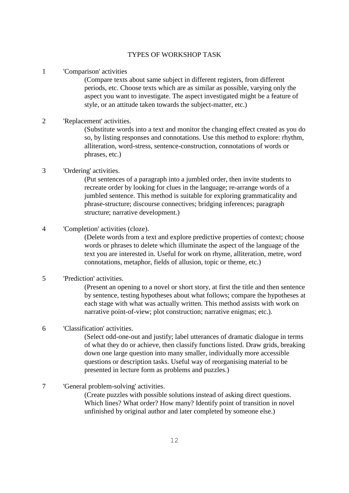## TYPES OF WORKSHOP TASK

1 'Comparison' activities

(Compare texts about same subject in different registers, from different periods, etc. Choose texts which are as similar as possible, varying only the aspect you want to investigate. The aspect investigated might be a feature of style, or an attitude taken towards the subject-matter, etc.)

## 2 'Replacement' activities.

(Substitute words into a text and monitor the changing effect created as you do so, by listing responses and connotations. Use this method to explore: rhythm, alliteration, word-stress, sentence-construction, connotations of words or phrases, etc.)

# 3 'Ordering' activities.

(Put sentences of a paragraph into a jumbled order, then invite students to recreate order by looking for clues in the language; re-arrange words of a jumbled sentence. This method is suitable for exploring grammaticality and phrase-structure; discourse connectives; bridging inferences; paragraph structure; narrative development.)

## 4 'Completion' activities (cloze).

(Delete words from a text and explore predictive properties of context; choose words or phrases to delete which illuminate the aspect of the language of the text you are interested in. Useful for work on rhyme, alliteration, metre, word connotations, metaphor, fields of allusion, topic or theme, etc.)

## 5 'Prediction' activities.

(Present an opening to a novel or short story, at first the title and then sentence by sentence, testing hypotheses about what follows; compare the hypotheses at each stage with what was actually written. This method assists with work on narrative point-of-view; plot construction; narrative enigmas; etc.).

#### 6 'Classification' activities.

(Select odd-one-out and justify; label utterances of dramatic dialogue in terms of what they do or achieve, then classify functions listed. Draw grids, breaking down one large question into many smaller, individually more accessible questions or description tasks. Useful way of reorganising material to be presented in lecture form as problems and puzzles.)

7 'General problem-solving' activities.

(Create puzzles with possible solutions instead of asking direct questions. Which lines? What order? How many? Identify point of transition in novel unfinished by original author and later completed by someone else.)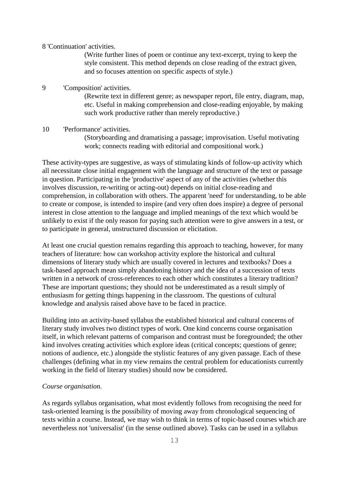#### 8 'Continuation' activities.

(Write further lines of poem or continue any text-excerpt, trying to keep the style consistent. This method depends on close reading of the extract given, and so focuses attention on specific aspects of style.)

## 9 'Composition' activities.

(Rewrite text in different genre; as newspaper report, file entry, diagram, map, etc. Useful in making comprehension and close-reading enjoyable, by making such work productive rather than merely reproductive.)

#### 10 'Performance' activities.

(Storyboarding and dramatising a passage; improvisation. Useful motivating work; connects reading with editorial and compositional work.)

These activity-types are suggestive, as ways of stimulating kinds of follow-up activity which all necessitate close initial engagement with the language and structure of the text or passage in question. Participating in the 'productive' aspect of any of the activities (whether this involves discussion, re-writing or acting-out) depends on initial close-reading and comprehension, in collaboration with others. The apparent 'need' for understanding, to be able to create or compose, is intended to inspire (and very often does inspire) a degree of personal interest in close attention to the language and implied meanings of the text which would be unlikely to exist if the only reason for paying such attention were to give answers in a test, or to participate in general, unstructured discussion or elicitation.

At least one crucial question remains regarding this approach to teaching, however, for many teachers of literature: how can workshop activity explore the historical and cultural dimensions of literary study which are usually covered in lectures and textbooks? Does a task-based approach mean simply abandoning history and the idea of a succession of texts written in a network of cross-references to each other which constitutes a literary tradition? These are important questions; they should not be underestimated as a result simply of enthusiasm for getting things happening in the classroom. The questions of cultural knowledge and analysis raised above have to be faced in practice.

Building into an activity-based syllabus the established historical and cultural concerns of literary study involves two distinct types of work. One kind concerns course organisation itself, in which relevant patterns of comparison and contrast must be foregrounded; the other kind involves creating activities which explore ideas (critical concepts; questions of genre; notions of audience, etc.) alongside the stylistic features of any given passage. Each of these challenges (defining what in my view remains the central problem for educationists currently working in the field of literary studies) should now be considered.

#### *Course organisation.*

As regards syllabus organisation, what most evidently follows from recognising the need for task-oriented learning is the possibility of moving away from chronological sequencing of texts within a course. Instead, we may wish to think in terms of topic-based courses which are nevertheless not 'universalist' (in the sense outlined above). Tasks can be used in a syllabus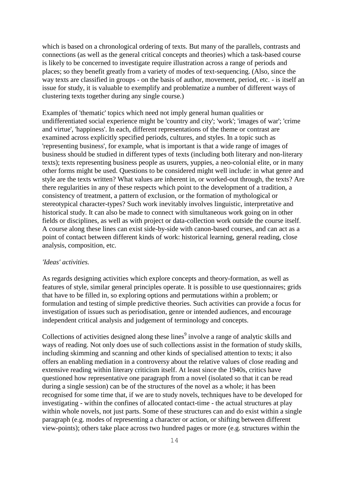which is based on a chronological ordering of texts. But many of the parallels, contrasts and connections (as well as the general critical concepts and theories) which a task-based course is likely to be concerned to investigate require illustration across a range of periods and places; so they benefit greatly from a variety of modes of text-sequencing. (Also, since the way texts are classified in groups - on the basis of author, movement, period, etc. - is itself an issue for study, it is valuable to exemplify and problematize a number of different ways of clustering texts together during any single course.)

Examples of 'thematic' topics which need not imply general human qualities or undifferentiated social experience might be 'country and city'; 'work'; 'images of war'; 'crime and virtue', 'happiness'. In each, different representations of the theme or contrast are examined across explicitly specified periods, cultures, and styles. In a topic such as 'representing business', for example, what is important is that a wide range of images of business should be studied in different types of texts (including both literary and non-literary texts); texts representing business people as usurers, yuppies, a neo-colonial elite, or in many other forms might be used. Questions to be considered might well include: in what genre and style are the texts written? What values are inherent in, or worked-out through, the texts? Are there regularities in any of these respects which point to the development of a tradition, a consistency of treatment, a pattern of exclusion, or the formation of mythological or stereotypical character-types? Such work inevitably involves linguistic, interpretative and historical study. It can also be made to connect with simultaneous work going on in other fields or disciplines, as well as with project or data-collection work outside the course itself. A course along these lines can exist side-by-side with canon-based courses, and can act as a point of contact between different kinds of work: historical learning, general reading, close analysis, composition, etc.

### *'Ideas' activities.*

As regards designing activities which explore concepts and theory-formation, as well as features of style, similar general principles operate. It is possible to use questionnaires; grids that have to be filled in, so exploring options and permutations within a problem; or formulation and testing of simple predictive theories. Such activities can provide a focus for investigation of issues such as periodisation, genre or intended audiences, and encourage independent critical analysis and judgement of terminology and concepts.

Collections of activities designed along these lines<sup>9</sup> involve a range of analytic skills and ways of reading. Not only does use of such collections assist in the formation of study skills, including skimming and scanning and other kinds of specialised attention to texts; it also offers an enabling mediation in a controversy about the relative values of close reading and extensive reading within literary criticism itself. At least since the 1940s, critics have questioned how representative one paragraph from a novel (isolated so that it can be read during a single session) can be of the structures of the novel as a whole; it has been recognised for some time that, if we are to study novels, techniques have to be developed for investigating - within the confines of allocated contact-time - the actual structures at play within whole novels, not just parts. Some of these structures can and do exist within a single paragraph (e.g. modes of representing a character or action, or shifting between different view-points); others take place across two hundred pages or more (e.g. structures within the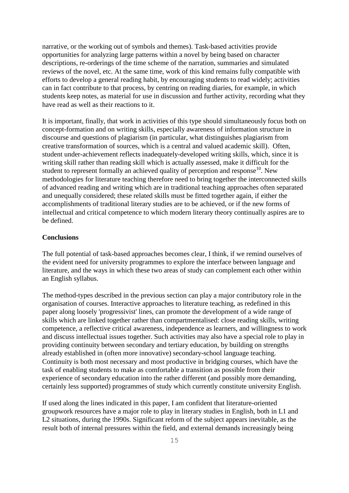narrative, or the working out of symbols and themes). Task-based activities provide opportunities for analyzing large patterns within a novel by being based on character descriptions, re-orderings of the time scheme of the narration, summaries and simulated reviews of the novel, etc. At the same time, work of this kind remains fully compatible with efforts to develop a general reading habit, by encouraging students to read widely; activities can in fact contribute to that process, by centring on reading diaries, for example, in which students keep notes, as material for use in discussion and further activity, recording what they have read as well as their reactions to it.

It is important, finally, that work in activities of this type should simultaneously focus both on concept-formation and on writing skills, especially awareness of information structure in discourse and questions of plagiarism (in particular, what distinguishes plagiarism from creative transformation of sources, which is a central and valued academic skill). Often, student under-achievement reflects inadequately-developed writing skills, which, since it is writing skill rather than reading skill which is actually assessed, make it difficult for the student to represent formally an achieved quality of perception and response<sup>10</sup>. New methodologies for literature teaching therefore need to bring together the interconnected skills of advanced reading and writing which are in traditional teaching approaches often separated and unequally considered; these related skills must be fitted together again, if either the accomplishments of traditional literary studies are to be achieved, or if the new forms of intellectual and critical competence to which modern literary theory continually aspires are to be defined.

## **Conclusions**

The full potential of task-based approaches becomes clear, I think, if we remind ourselves of the evident need for university programmes to explore the interface between language and literature, and the ways in which these two areas of study can complement each other within an English syllabus.

The method-types described in the previous section can play a major contributory role in the organisation of courses. Interactive approaches to literature teaching, as redefined in this paper along loosely 'progressivist' lines, can promote the development of a wide range of skills which are linked together rather than compartmentalised: close reading skills, writing competence, a reflective critical awareness, independence as learners, and willingness to work and discuss intellectual issues together. Such activities may also have a special role to play in providing continuity between secondary and tertiary education, by building on strengths already established in (often more innovative) secondary-school language teaching. Continuity is both most necessary and most productive in bridging courses, which have the task of enabling students to make as comfortable a transition as possible from their experience of secondary education into the rather different (and possibly more demanding, certainly less supported) programmes of study which currently constitute university English.

If used along the lines indicated in this paper, I am confident that literature-oriented groupwork resources have a major role to play in literary studies in English, both in L1 and L2 situations, during the 1990s. Significant reform of the subject appears inevitable, as the result both of internal pressures within the field, and external demands increasingly being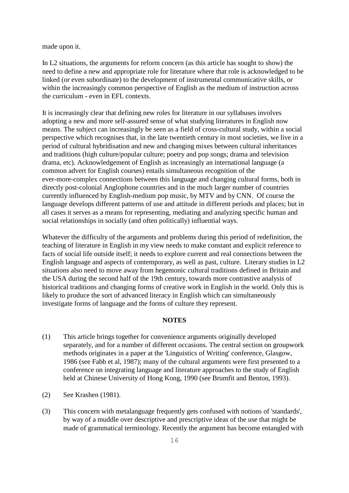made upon it.

In L2 situations, the arguments for reform concern (as this article has sought to show) the need to define a new and appropriate role for literature where that role is acknowledged to be linked (or even subordinate) to the development of instrumental communicative skills, or within the increasingly common perspective of English as the medium of instruction across the curriculum - even in EFL contexts.

It is increasingly clear that defining new roles for literature in our syllabuses involves adopting a new and more self-assured sense of what studying literatures in English now means. The subject can increasingly be seen as a field of cross-cultural study, within a social perspective which recognises that, in the late twentieth century in most societies, we live in a period of cultural hybridisation and new and changing mixes between cultural inheritances and traditions (high culture/popular culture; poetry and pop songs; drama and television drama, etc). Acknowledgement of English as increasingly an international language (a common advert for English courses) entails simultaneous recognition of the ever-more-complex connections between this language and changing cultural forms, both in directly post-colonial Anglophone countries and in the much larger number of countries currently influenced by English-medium pop music, by MTV and by CNN. Of course the language develops different patterns of use and attitude in different periods and places; but in all cases it serves as a means for representing, mediating and analyzing specific human and social relationships in socially (and often politically) influential ways.

Whatever the difficulty of the arguments and problems during this period of redefinition, the teaching of literature in English in my view needs to make constant and explicit reference to facts of social life outside itself; it needs to explore current and real connections between the English language and aspects of contemporary, as well as past, culture. Literary studies in L2 situations also need to move away from hegemonic cultural traditions defined in Britain and the USA during the second half of the 19th century, towards more contrastive analysis of historical traditions and changing forms of creative work in English in the world. Only this is likely to produce the sort of advanced literacy in English which can simultaneously investigate forms of language and the forms of culture they represent.

## **NOTES**

- (1) This article brings together for convenience arguments originally developed separately, and for a number of different occasions. The central section on groupwork methods originates in a paper at the 'Linguistics of Writing' conference, Glasgow, 1986 (see Fabb et al, 1987); many of the cultural arguments were first presented to a conference on integrating language and literature approaches to the study of English held at Chinese University of Hong Kong, 1990 (see Brumfit and Benton, 1993).
- (2) See Krashen (1981).
- (3) This concern with metalanguage frequently gets confused with notions of 'standards', by way of a muddle over descriptive and prescriptive ideas of the use that might be made of grammatical terminology. Recently the argument has become entangled with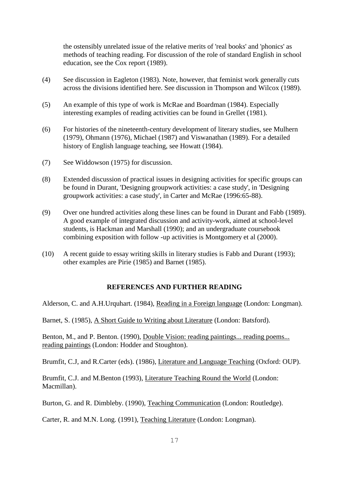the ostensibly unrelated issue of the relative merits of 'real books' and 'phonics' as methods of teaching reading. For discussion of the role of standard English in school education, see the Cox report (1989).

- (4) See discussion in Eagleton (1983). Note, however, that feminist work generally cuts across the divisions identified here. See discussion in Thompson and Wilcox (1989).
- (5) An example of this type of work is McRae and Boardman (1984). Especially interesting examples of reading activities can be found in Grellet (1981).
- (6) For histories of the nineteenth-century development of literary studies, see Mulhern (1979), Ohmann (1976), Michael (1987) and Viswanathan (1989). For a detailed history of English language teaching, see Howatt (1984).
- (7) See Widdowson (1975) for discussion.
- (8) Extended discussion of practical issues in designing activities for specific groups can be found in Durant, 'Designing groupwork activities: a case study', in 'Designing groupwork activities: a case study', in Carter and McRae (1996:65-88).
- (9) Over one hundred activities along these lines can be found in Durant and Fabb (1989). A good example of integrated discussion and activity-work, aimed at school-level students, is Hackman and Marshall (1990); and an undergraduate coursebook combining exposition with follow -up activities is Montgomery et al (2000).
- (10) A recent guide to essay writing skills in literary studies is Fabb and Durant (1993); other examples are Pirie (1985) and Barnet (1985).

## **REFERENCES AND FURTHER READING**

Alderson, C. and A.H.Urquhart. (1984), Reading in a Foreign language (London: Longman).

Barnet, S. (1985), A Short Guide to Writing about Literature (London: Batsford).

Benton, M., and P. Benton. (1990), Double Vision: reading paintings... reading poems... reading paintings (London: Hodder and Stoughton).

Brumfit, C.J, and R.Carter (eds). (1986), Literature and Language Teaching (Oxford: OUP).

Brumfit, C.J. and M.Benton (1993), Literature Teaching Round the World (London: Macmillan).

Burton, G. and R. Dimbleby. (1990), Teaching Communication (London: Routledge).

Carter, R. and M.N. Long. (1991), Teaching Literature (London: Longman).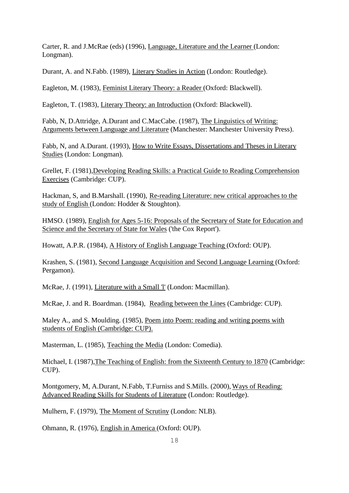Carter, R. and J.McRae (eds) (1996), Language, Literature and the Learner (London: Longman).

Durant, A. and N.Fabb. (1989), Literary Studies in Action (London: Routledge).

Eagleton, M. (1983), Feminist Literary Theory: a Reader (Oxford: Blackwell).

Eagleton, T. (1983), Literary Theory: an Introduction (Oxford: Blackwell).

Fabb, N, D.Attridge, A.Durant and C.MacCabe. (1987), The Linguistics of Writing: Arguments between Language and Literature (Manchester: Manchester University Press).

Fabb, N, and A.Durant. (1993), How to Write Essays, Dissertations and Theses in Literary Studies (London: Longman).

Grellet, F. (1981),Developing Reading Skills: a Practical Guide to Reading Comprehension Exercises (Cambridge: CUP).

Hackman, S, and B.Marshall. (1990), Re-reading Literature: new critical approaches to the study of English (London: Hodder & Stoughton).

HMSO. (1989), English for Ages 5-16: Proposals of the Secretary of State for Education and Science and the Secretary of State for Wales ('the Cox Report').

Howatt, A.P.R. (1984), A History of English Language Teaching (Oxford: OUP).

Krashen, S. (1981), Second Language Acquisition and Second Language Learning (Oxford: Pergamon).

McRae, J. (1991), Literature with a Small 'l' (London: Macmillan).

McRae, J. and R. Boardman. (1984), Reading between the Lines (Cambridge: CUP).

Maley A., and S. Moulding. (1985), Poem into Poem: reading and writing poems with students of English (Cambridge: CUP).

Masterman, L. (1985), Teaching the Media (London: Comedia).

Michael, I. (1987),The Teaching of English: from the Sixteenth Century to 1870 (Cambridge: CUP).

Montgomery, M, A.Durant, N.Fabb, T.Furniss and S.Mills. (2000), Ways of Reading: Advanced Reading Skills for Students of Literature (London: Routledge).

Mulhern, F. (1979), The Moment of Scrutiny (London: NLB).

Ohmann, R. (1976), English in America (Oxford: OUP).